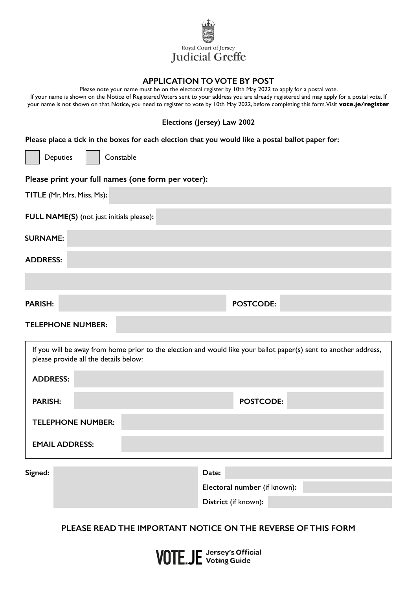

### **APPLICATION TO VOTE BY POST**

Please note your name must be on the electoral register by 10th May 2022 to apply for a postal vote.

If your name is shown on the Notice of Registered Voters sent to your address you are already registered and may apply for a postal vote. If your name is not shown on that Notice, you need to register to vote by 10th May 2022, before completing this form. Visit **vote.je/register**

#### **Elections (Jersey) Law 2002**

**Please place a tick in the boxes for each election that you would like a postal ballot paper for:**

Deputies | Constable

#### **Please print your full names (one form per voter):**

| TITLE (Mr, Mrs, Miss, Ms):               |                  |  |
|------------------------------------------|------------------|--|
| FULL NAME(S) (not just initials please): |                  |  |
| <b>SURNAME:</b>                          |                  |  |
| <b>ADDRESS:</b>                          |                  |  |
|                                          |                  |  |
| <b>PARISH:</b>                           | <b>POSTCODE:</b> |  |
|                                          |                  |  |

### **TELEPHONE NUMBER:**

| If you will be away from home prior to the election and would like your ballot paper(s) sent to another address,<br>please provide all the details below: |  |           |  |  |
|-----------------------------------------------------------------------------------------------------------------------------------------------------------|--|-----------|--|--|
| <b>ADDRESS:</b>                                                                                                                                           |  |           |  |  |
| <b>PARISH:</b>                                                                                                                                            |  | POSTCODE: |  |  |
| <b>TELEPHONE NUMBER:</b>                                                                                                                                  |  |           |  |  |
| <b>EMAIL ADDRESS:</b>                                                                                                                                     |  |           |  |  |

**Signed: Date:**

**Electoral number** (if known)**:**

**District** (if known)**:**

## **PLEASE READ THE IMPORTANT NOTICE ON THE REVERSE OF THIS FORM**